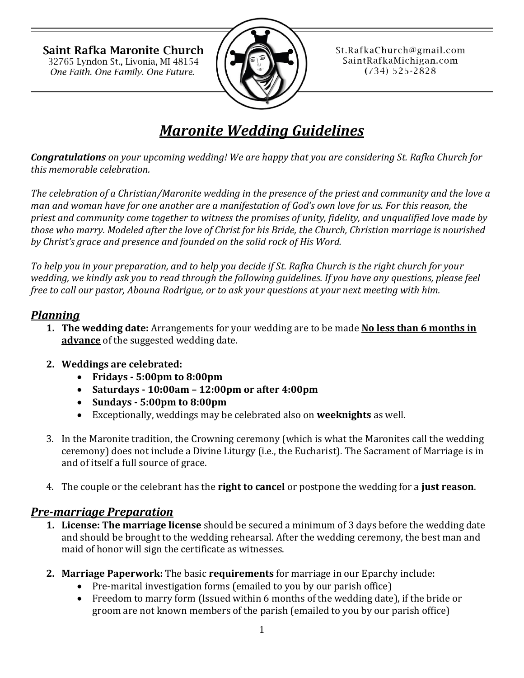Saint Rafka Maronite Church 32765 Lyndon St., Livonia, MI 48154 One Faith. One Family. One Future.



St.RafkaChurch@gmail.com SaintRafkaMichigan.com  $(734) 525 - 2828$ 

# *Maronite Wedding Guidelines*

*Congratulations on your upcoming wedding! We are happy that you are considering St. Rafka Church for this memorable celebration.* 

*The celebration of a Christian/Maronite wedding in the presence of the priest and community and the love a man and woman have for one another are a manifestation of God's own love for us. For this reason, the priest and community come together to witness the promises of unity, fidelity, and unqualified love made by those who marry. Modeled after the love of Christ for his Bride, the Church, Christian marriage is nourished by Christ's grace and presence and founded on the solid rock of His Word.*

*To help you in your preparation, and to help you decide if St. Rafka Church is the right church for your wedding, we kindly ask you to read through the following guidelines. If you have any questions, please feel free to call our pastor, Abouna Rodrigue, or to ask your questions at your next meeting with him.*

### *Planning*

- **1. The wedding date:** Arrangements for your wedding are to be made **No less than 6 months in advance** of the suggested wedding date.
- **2. Weddings are celebrated:** 
	- **Fridays - 5:00pm to 8:00pm**
	- **Saturdays - 10:00am – 12:00pm or after 4:00pm**
	- **Sundays - 5:00pm to 8:00pm**
	- Exceptionally, weddings may be celebrated also on **weeknights** as well.
- 3. In the Maronite tradition, the Crowning ceremony (which is what the Maronites call the wedding ceremony) does not include a Divine Liturgy (i.e., the Eucharist). The Sacrament of Marriage is in and of itself a full source of grace.
- 4. The couple or the celebrant has the **right to cancel** or postpone the wedding for a **just reason**.

## *Pre-marriage Preparation*

- **1. License: The marriage license** should be secured a minimum of 3 days before the wedding date and should be brought to the wedding rehearsal. After the wedding ceremony, the best man and maid of honor will sign the certificate as witnesses.
- **2. Marriage Paperwork:** The basic **requirements** for marriage in our Eparchy include:
	- Pre-marital investigation forms (emailed to you by our parish office)
	- Freedom to marry form (Issued within 6 months of the wedding date), if the bride or groom are not known members of the parish (emailed to you by our parish office)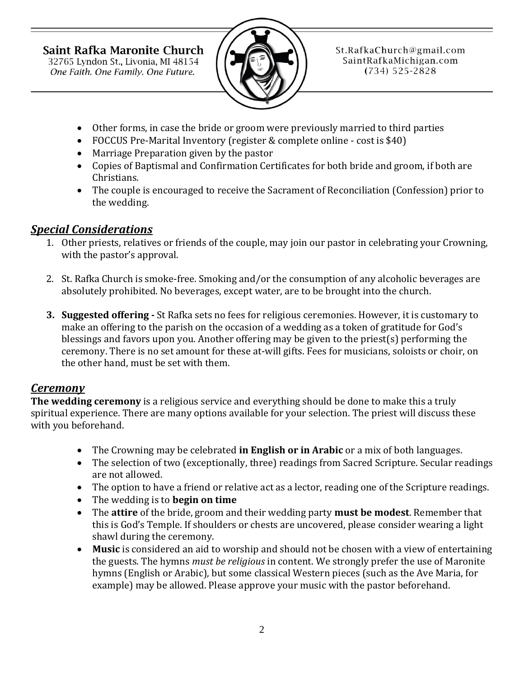Saint Rafka Maronite Church

32765 Lyndon St., Livonia, MI 48154 One Faith. One Family. One Future.



St.RafkaChurch@gmail.com SaintRafkaMichigan.com  $(734) 525 - 2828$ 

- Other forms, in case the bride or groom were previously married to third parties
- FOCCUS Pre-Marital Inventory (register & complete online cost is \$40)
- Marriage Preparation given by the pastor
- Copies of Baptismal and Confirmation Certificates for both bride and groom, if both are Christians.
- The couple is encouraged to receive the Sacrament of Reconciliation (Confession) prior to the wedding.

# *Special Considerations*

- 1. Other priests, relatives or friends of the couple, may join our pastor in celebrating your Crowning, with the pastor's approval.
- 2. St. Rafka Church is smoke-free. Smoking and/or the consumption of any alcoholic beverages are absolutely prohibited. No beverages, except water, are to be brought into the church.
- **3. Suggested offering -** St Rafka sets no fees for religious ceremonies. However, it is customary to make an offering to the parish on the occasion of a wedding as a token of gratitude for God's blessings and favors upon you. Another offering may be given to the priest(s) performing the ceremony. There is no set amount for these at-will gifts. Fees for musicians, soloists or choir, on the other hand, must be set with them.

## *Ceremony*

**The wedding ceremony** is a religious service and everything should be done to make this a truly spiritual experience. There are many options available for your selection. The priest will discuss these with you beforehand.

- The Crowning may be celebrated **in English or in Arabic** or a mix of both languages.
- The selection of two (exceptionally, three) readings from Sacred Scripture. Secular readings are not allowed.
- The option to have a friend or relative act as a lector, reading one of the Scripture readings.
- The wedding is to **begin on time**
- The **attire** of the bride, groom and their wedding party **must be modest**. Remember that this is God's Temple. If shoulders or chests are uncovered, please consider wearing a light shawl during the ceremony.
- **Music** is considered an aid to worship and should not be chosen with a view of entertaining the guests. The hymns *must be religious* in content. We strongly prefer the use of Maronite hymns (English or Arabic), but some classical Western pieces (such as the Ave Maria, for example) may be allowed. Please approve your music with the pastor beforehand.